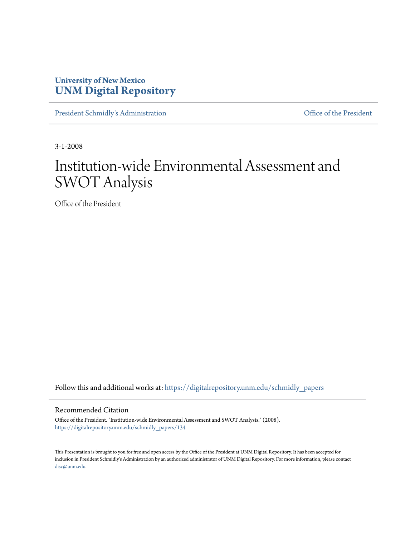### **University of New Mexico [UNM Digital Repository](https://digitalrepository.unm.edu?utm_source=digitalrepository.unm.edu%2Fschmidly_papers%2F134&utm_medium=PDF&utm_campaign=PDFCoverPages)**

[President Schmidly's Administration](https://digitalrepository.unm.edu/schmidly_papers?utm_source=digitalrepository.unm.edu%2Fschmidly_papers%2F134&utm_medium=PDF&utm_campaign=PDFCoverPages) [Office of the President](https://digitalrepository.unm.edu/ofc_president?utm_source=digitalrepository.unm.edu%2Fschmidly_papers%2F134&utm_medium=PDF&utm_campaign=PDFCoverPages)

3-1-2008

# Institution-wide Environmental Assessment and SWOT Analysis

Office of the President

Follow this and additional works at: [https://digitalrepository.unm.edu/schmidly\\_papers](https://digitalrepository.unm.edu/schmidly_papers?utm_source=digitalrepository.unm.edu%2Fschmidly_papers%2F134&utm_medium=PDF&utm_campaign=PDFCoverPages)

#### Recommended Citation

Office of the President. "Institution-wide Environmental Assessment and SWOT Analysis." (2008). [https://digitalrepository.unm.edu/schmidly\\_papers/134](https://digitalrepository.unm.edu/schmidly_papers/134?utm_source=digitalrepository.unm.edu%2Fschmidly_papers%2F134&utm_medium=PDF&utm_campaign=PDFCoverPages)

This Presentation is brought to you for free and open access by the Office of the President at UNM Digital Repository. It has been accepted for inclusion in President Schmidly's Administration by an authorized administrator of UNM Digital Repository. For more information, please contact [disc@unm.edu](mailto:disc@unm.edu).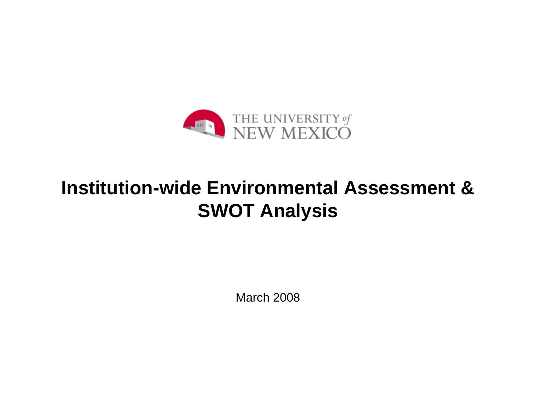

# **Institution-wide Environmental Assessment & SWOT Analysis**

March 2008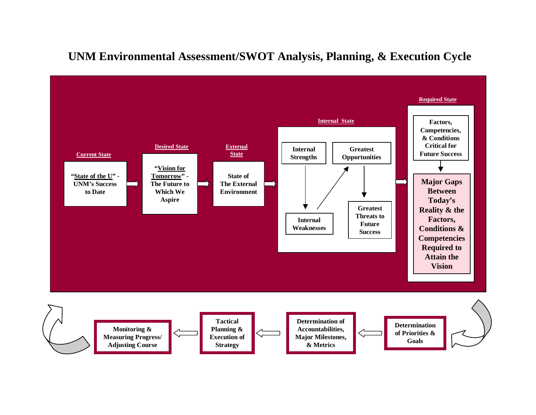## **UNM Environmental Assessment/SWOT Analysis, Planning, & Execution Cycle**

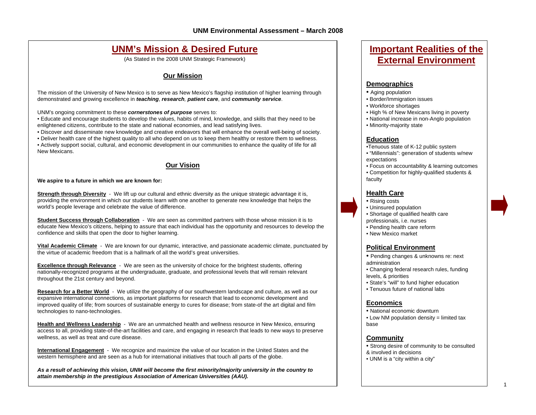### **UNM's Mission & Desired Future**

(As Stated in the 2008 UNM Strategic Framework)

#### **Our Mission**

The mission of the University of New Mexico is to serve as New Mexico's flagship institution of higher learning through demonstrated and growing excellence in *teaching*, *research, patient care*, and *community service*.

UNM's ongoing commitment to these *cornerstones of purpose* serves to:

• Educate and encourage students to develop the values, habits of mind, knowledge, and skills that they need to be enlightened citizens, contribute to the state and national economies, and lead satisfying lives.

• Discover and disseminate new knowledge and creative endeavors that will enhance the overall well-being of society.

• Deliver health care of the highest quality to all who depend on us to keep them healthy or restore them to wellness. • Actively support social, cultural, and economic development in our communities to enhance the quality of life for all New Mexicans.

#### **Our Vision**

#### **We aspire to a future in which we are known for:**

**Strength through Diversity** - We lift up our cultural and ethnic diversity as the unique strategic advantage it is, providing the environment in which our students learn with one another to generate new knowledge that helps the world's people leverage and celebrate the value of difference.

**Student Success through Collaboration** - We are seen as committed partners with those whose mission it is to educate New Mexico's citizens, helping to assure that each individual has the opportunity and resources to develop the confidence and skills that open the door to higher learning.

**Vital Academic Climate** - We are known for our dynamic, interactive, and passionate academic climate, punctuated by the virtue of academic freedom that is a hallmark of all the world's great universities.

**Excellence through Relevance** - We are seen as the university of choice for the brightest students, offering nationally-recognized programs at the undergraduate, graduate, and professional levels that will remain relevant throughout the 21st century and beyond.

**Research for a Better World** - We utilize the geography of our southwestern landscape and culture, as well as our expansive international connections, as important platforms for research that lead to economic development and improved quality of life; from sources of sustainable energy to cures for disease; from state-of the art digital and film technologies to nano-technologies.

**Health and Wellness Leadership** - We are an unmatched health and wellness resource in New Mexico, ensuring access to all, providing state-of-the-art facilities and care, and engaging in research that leads to new ways to preserve wellness, as well as treat and cure disease.

**International Engagement** - We recognize and maximize the value of our location in the United States and the western hemisphere and are seen as a hub for international initiatives that touch all parts of the globe.

*As a result of achieving this vision, UNM will become the first minority/majority university in the country to attain membership in the prestigious Association of American Universities (AAU).*

### **Important Realities of the External Environment**

#### **Demographics**

- Aging population
- Border/Immigration issues
- Workforce shortages
- High % of New Mexicans living in poverty
- National increase in non-Anglo population
- Minority-majority state

#### **Education**

- •Tenuous state of K-12 public system
- "Millennials": generation of students w/new expectations
- Focus on accountability & learning outcomes
- Competition for highly-qualified students & faculty

#### **Health Care**

- Rising costs
- Uninsured population
- Shortage of qualified health care professionals, i.e. nurses
- Pending health care reform
- New Mexico market

#### **Political Environment**

- Pending changes & unknowns re: next administration
- Changing federal research rules, funding levels, & priorities
- State's "will" to fund higher education
- Tenuous future of national labs

#### **Economics**

- National economic downturn
- Low NM population density = limited tax base

#### **Community**

- Strong desire of community to be consulted
- & involved in decisions
- UNM is a "city within a city"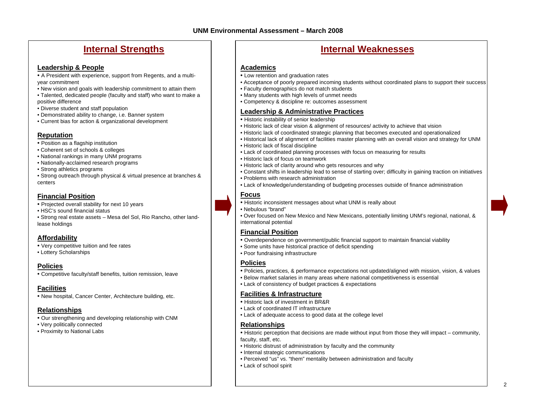### **Internal Strengths**

#### **Leadership & People**

- A President with experience, support from Regents, and a multiyear commitment
- New vision and goals with leadership commitment to attain them
- Talented, dedicated people (faculty and staff) who want to make a positive difference
- Diverse student and staff population
- Demonstrated ability to change, i.e. Banner system
- Current bias for action & organizational development

#### **Reputation**

- Position as a flagship institution
- Coherent set of schools & colleges
- National rankings in many UNM programs
- Nationally-acclaimed research programs
- Strong athletics programs
- Strong outreach through physical & virtual presence at branches & centers

#### **Financial Position**

- Projected overall stability for next 10 years
- HSC's sound financial status
- Strong real estate assets Mesa del Sol, Rio Rancho, other landlease holdings

#### **Affordability**

- Very competitive tuition and fee rates
- Lottery Scholarships

#### **Policies**

• Competitive faculty/staff benefits, tuition remission, leave

### **Facilities**

• New hospital, Cancer Center, Architecture building, etc.

### **Relationships**

- Our strengthening and developing relationship with CNM
- Very politically connected
- Proximity to National Labs

### **Internal Weaknesses**

#### **Academics**

- Low retention and graduation rates
- Acceptance of poorly prepared incoming students without coordinated plans to support their success
- Faculty demographics do not match students
- Many students with high levels of unmet needs
- Competency & discipline re: outcomes assessment

#### **Leadership & Administrative Practices**

- Historic instability of senior leadership
- Historic lack of clear vision & alignment of resources/ activity to achieve that vision
- Historic lack of coordinated strategic planning that becomes executed and operationalized
- Historical lack of alignment of facilities master planning with an overall vision and strategy for UNM
- Historic lack of fiscal discipline
- Lack of coordinated planning processes with focus on measuring for results
- Historic lack of focus on teamwork
- Historic lack of clarity around who gets resources and why
- Constant shifts in leadership lead to sense of starting over; difficulty in gaining traction on initiatives
- Problems with research administration
- Lack of knowledge/understanding of budgeting processes outside of finance administration

#### **Focus**

- Historic inconsistent messages about what UNM is really about
- Nebulous "brand"
- Over focused on New Mexico and New Mexicans, potentially limiting UNM's regional, national, & international potential

#### **Financial Position**

- Overdependence on government/public financial support to maintain financial viability
- Some units have historical practice of deficit spending
- Poor fundraising infrastructure

### **Policies**

- Policies, practices, & performance expectations not updated/aligned with mission, vision, & values
- Below market salaries in many areas where national competitiveness is essential
- Lack of consistency of budget practices & expectations

#### **Facilities & Infrastructure**

- Historic lack of investment in BR&R
- Lack of coordinated IT infrastructure
- Lack of adequate access to good data at the college level

#### **Relationships**

- Historic perception that decisions are made without input from those they will impact community, faculty, staff, etc.
- Historic distrust of administration by faculty and the community
- Internal strategic communications
- Perceived "us" vs. "them" mentality between administration and faculty
- Lack of school spirit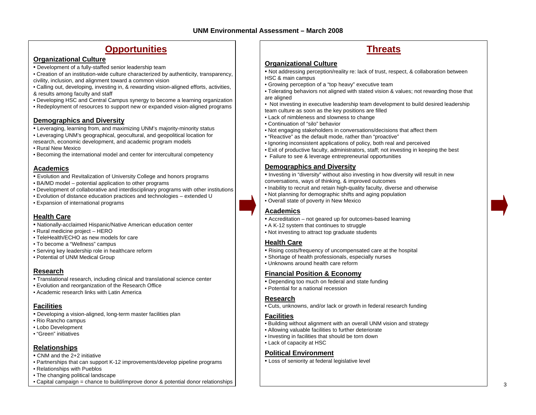### **Opportunities Threats**

#### **Organizational Culture**

• Development of a fully-staffed senior leadership team

• Creation of an institution-wide culture characterized by authenticity, transparency, civility, inclusion, and alignment toward a common vision

- Calling out, developing, investing in, & rewarding vision-aligned efforts, activities, & results among faculty and staff
- Developing HSC and Central Campus synergy to become a learning organization
- Redeployment of resources to support new or expanded vision-aligned programs

#### **Demographics and Diversity**

- Leveraging, learning from, and maximizing UNM's majority-minority status
- Leveraging UNM's geographical, geocultural, and geopolitical location for research, economic development, and academic program models
- Rural New Mexico
- Becoming the international model and center for intercultural competency

#### **Academics**

- Evolution and Revitalization of University College and honors programs
- BA/MD model potential application to other programs
- Development of collaborative and interdisciplinary programs with other institutions
- Evolution of distance education practices and technologies extended U
- Expansion of international programs

#### **Health Care**

- Nationally-acclaimed Hispanic/Native American education center
- Rural medicine project HERO
- TeleHealth/ECHO as new models for care
- To become a "Wellness" campus
- Serving key leadership role in healthcare reform
- Potential of UNM Medical Group

#### **Research**

- Translational research, including clinical and translational science center
- Evolution and reorganization of the Research Office
- Academic research links with Latin America

#### **Facilities**

- Developing a vision-aligned, long-term master facilities plan
- Rio Rancho campus
- Lobo Development
- "Green" initiatives

#### **Relationships**

- CNM and the 2+2 initiative
- Partnerships that can support K-12 improvements/develop pipeline programs
- Relationships with Pueblos
- The changing political landscape
- Capital campaign = chance to build/improve donor & potential donor relationships

#### **Organizational Culture**

- Not addressing perception/reality re: lack of trust, respect, & collaboration between HSC & main campus
- Growing perception of a "top heavy" executive team
- Tolerating behaviors not aligned with stated vision & values; not rewarding those that are aligned
- Not investing in executive leadership team development to build desired leadership team culture as soon as the key positions are filled
- Lack of nimbleness and slowness to change
- Continuation of "silo" behavior
- Not engaging stakeholders in conversations/decisions that affect them
- "Reactive" as the default mode, rather than "proactive"
- Ignoring inconsistent applications of policy, both real and perceived
- Exit of productive faculty, administrators, staff; not investing in keeping the best
- Failure to see & leverage entrepreneurial opportunities

#### **Demographics and Diversity**

- Investing in "diversity" without also investing in how diversity will result in new conversations, ways of thinking, & improved outcomes
- Inability to recruit and retain high-quality faculty, diverse and otherwise
- Not planning for demographic shifts and aging population
- Overall state of poverty in New Mexico

#### **Academics**

- Accreditation not geared up for outcomes-based learning
- A K-12 system that continues to struggle
- Not investing to attract top graduate students

#### **Health Care**

- Rising costs/frequency of uncompensated care at the hospital
- Shortage of health professionals, especially nurses
- Unknowns around health care reform

#### **Financial Position & Economy**

- Depending too much on federal and state funding
- Potential for a national recession

#### **Research**

• Cuts, unknowns, and/or lack or growth in federal research funding

#### **Facilities**

- Building without alignment with an overall UNM vision and strategy
- Allowing valuable facilities to further deteriorate
- Investing in facilities that should be torn down
- Lack of capacity at HSC

#### **Political Environment**

• Loss of seniority at federal legislative level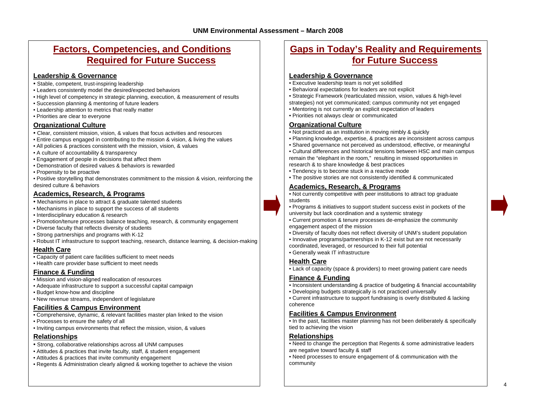### **Factors, Competencies, and Conditions Required for Future Success**

#### **Leadership & Governance**

- Stable, competent, trust-inspiring leadership
- Leaders consistently model the desired/expected behaviors
- High level of competency in strategic planning, execution, & measurement of results
- Succession planning & mentoring of future leaders
- Leadership attention to metrics that really matter
- Priorities are clear to everyone

#### **Organizational Culture**

- Clear, consistent mission, vision, & values that focus activities and resources
- Entire campus engaged in contributing to the mission & vision, & living the values
- All policies & practices consistent with the mission, vision, & values
- A culture of accountability & transparency
- Engagement of people in decisions that affect them
- Demonstration of desired values & behaviors is rewarded
- Propensity to be proactive
- Positive storytelling that demonstrates commitment to the mission & vision, reinforcing the desired culture & behaviors

#### **Academics, Research, & Programs**

- Mechanisms in place to attract & graduate talented students
- Mechanisms in place to support the success of all students
- Interdisciplinary education & research
- Promotion/tenure processes balance teaching, research, & community engagement
- Diverse faculty that reflects diversity of students
- Strong partnerships and programs with K-12
- Robust IT infrastructure to support teaching, research, distance learning, & decision-making

#### **Health Care**

- Capacity of patient care facilities sufficient to meet needs
- Health care provider base sufficient to meet needs

#### **Finance & Funding**

- Mission and vision-aligned reallocation of resources
- Adequate infrastructure to support a successful capital campaign
- Budget know-how and discipline
- New revenue streams, independent of legislature

### **Facilities & Campus Environment**

- Comprehensive, dynamic, & relevant facilities master plan linked to the vision
- Processes to ensure the safety of all
- Inviting campus environments that reflect the mission, vision, & values

### **Relationships**

- Strong, collaborative relationships across all UNM campuses
- Attitudes & practices that invite faculty, staff, & student engagement
- Attitudes & practices that invite community engagement
- Regents & Administration clearly aligned & working together to achieve the vision

### **Gaps in Today's Reality and Requirements for Future Success**

#### **Leadership & Governance**

- Executive leadership team is not yet solidified
- Behavioral expectations for leaders are not explicit
- Strategic Framework (rearticulated mission, vision, values & high-level strategies) not yet communicated; campus community not yet engaged
- Mentoring is not currently an explicit expectation of leaders
- Priorities not always clear or communicated

#### **Organizational Culture**

- Not practiced as an institution in moving nimbly & quickly
- Planning knowledge, expertise, & practices are inconsistent across campus
- Shared governance not perceived as understood, effective, or meaningful
- Cultural differences and historical tensions between HSC and main campus remain the "elephant in the room," resulting in missed opportunities in research & to share knowledge & best practices
- Tendency is to become stuck in a reactive mode
- The positive stories are not consistently identified & communicated

#### **Academics, Research, & Programs**

• Not currently competitive with peer institutions to attract top graduate students

- Programs & initiatives to support student success exist in pockets of the university but lack coordination and a systemic strategy
- Current promotion & tenure processes de-emphasize the community engagement aspect of the mission
- Diversity of faculty does not reflect diversity of UNM's student population
- Innovative programs/partnerships in K-12 exist but are not necessarily coordinated, leveraged, or resourced to their full potential
- Generally weak IT infrastructure

#### **Health Care**

• Lack of capacity (space & providers) to meet growing patient care needs

#### **Finance & Funding**

- Inconsistent understanding & practice of budgeting & financial accountability
- Developing budgets strategically is not practiced universally
- Current infrastructure to support fundraising is overly distributed & lacking coherence

#### **Facilities & Campus Environment**

• In the past, facilities master planning has not been deliberately & specifically tied to achieving the vision

#### **Relationships**

• Need to change the perception that Regents & some administrative leaders are negative toward faculty & staff

• Need processes to ensure engagement of & communication with the community